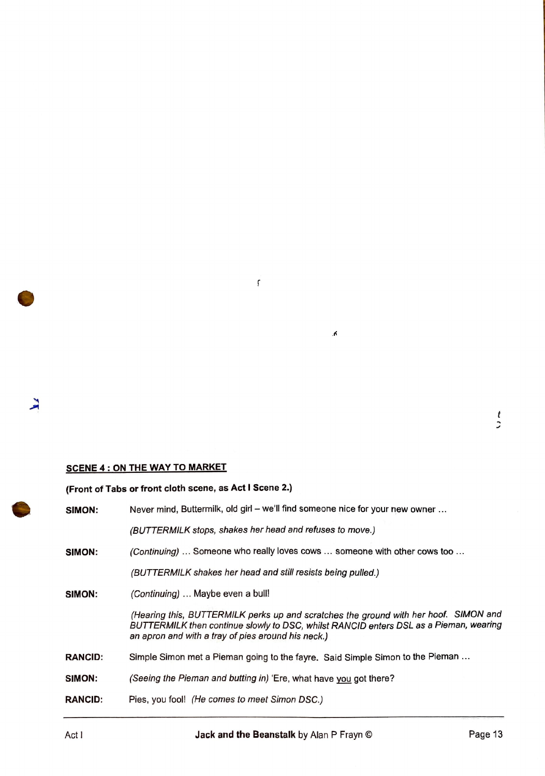## **SCENE 4: ON THE WAY TO MARKET**

## **(Front of Tabs or front cloth scene, as Act I Scene 2.)**

| SIMON:         | Never mind, Buttermilk, old girl – we'll find someone nice for your new owner                                                                                                                                                       |
|----------------|-------------------------------------------------------------------------------------------------------------------------------------------------------------------------------------------------------------------------------------|
|                | (BUTTERMILK stops, shakes her head and refuses to move.)                                                                                                                                                                            |
| SIMON:         | (Continuing)  Someone who really loves cows  someone with other cows too                                                                                                                                                            |
|                | (BUTTERMILK shakes her head and still resists being pulled.)                                                                                                                                                                        |
| SIMON:         | (Continuing)  Maybe even a bull!                                                                                                                                                                                                    |
|                | (Hearing this, BUTTERMILK perks up and scratches the ground with her hoof. SIMON and<br>BUTTERMILK then continue slowly to DSC, whilst RANCID enters DSL as a Pieman, wearing<br>an apron and with a tray of pies around his neck.) |
| <b>RANCID:</b> | Simple Simon met a Pieman going to the fayre. Said Simple Simon to the Pieman                                                                                                                                                       |
| SIMON:         | (Seeing the Pieman and butting in) 'Ere, what have you got there?                                                                                                                                                                   |
| <b>RANCID:</b> | Pies, you fool! (He comes to meet Simon DSC.)                                                                                                                                                                                       |
|                |                                                                                                                                                                                                                                     |

 $\mathbf{f}$ 

 $\pmb{\Lambda}$ 

 $\mathbf{r}$